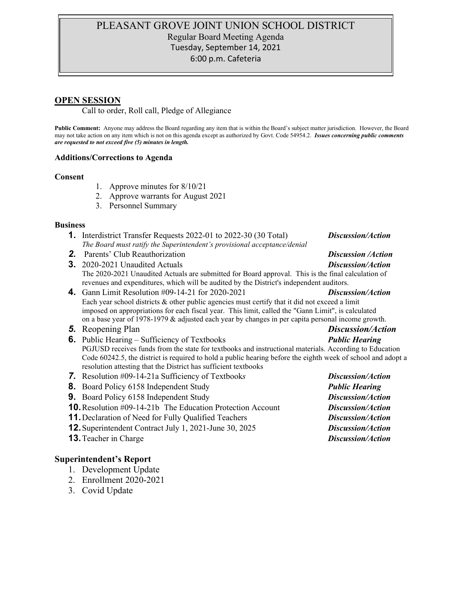# PLEASANT GROVE JOINT UNION SCHOOL DISTRICT Regular Board Meeting Agenda Tuesday, September 14, 2021 6:00 p.m. Cafeteria

## **OPEN SESSION**

Call to order, Roll call, Pledge of Allegiance

**Public Comment:** Anyone may address the Board regarding any item that is within the Board's subject matter jurisdiction. However, the Board may not take action on any item which is not on this agenda except as authorized by Govt. Code 54954.2. *Issues concerning public comments are requested to not exceed five (5) minutes in length.*

#### **Additions/Corrections to Agenda**

#### **Consent**

- 1. Approve minutes for 8/10/21
- 2. Approve warrants for August 2021
- 3. Personnel Summary

#### **Business**

- **1.** Interdistrict Transfer Requests 2022-01 to 2022-30 (30 Total) *Discussion/Action The Board must ratify the Superintendent's provisional acceptance/denial*
- *2.* Parents' Club Reauthorization *Discussion /Action*
- **3.** 2020-2021 Unaudited Actuals *Discussion/Action* The 2020-2021 Unaudited Actuals are submitted for Board approval. This is the final calculation of revenues and expenditures, which will be audited by the District's independent auditors.
- **4.** Gann Limit Resolution #09-14-21 for 2020-2021 *Discussion/Action* Each year school districts & other public agencies must certify that it did not exceed a limit imposed on appropriations for each fiscal year. This limit, called the "Gann Limit", is calculated on a base year of 1978-1979 & adjusted each year by changes in per capita personal income growth.
- *5.* Reopening Plan *Discussion/Action*
- **6.** Public Hearing Sufficiency of Textbooks *Public Hearing* PGJUSD receives funds from the state for textbooks and instructional materials. According to Education Code 60242.5, the district is required to hold a public hearing before the eighth week of school and adopt a resolution attesting that the District has sufficient textbooks
- *7.* Resolution #09-14-21a Sufficiency of Textbook*s Discussion/Action*
- **8.** Board Policy 6158 Independent Study *Public Hearing*
- **9.** Board Policy 6158 Independent Study *Discussion/Action*
- **10.**Resolution #09-14-21b The Education Protection Account *Discussion/Action*
- **11.**Declaration of Need for Fully Qualified Teachers *Discussion/Action*
- **12.**Superintendent Contract July 1, 2021-June 30, 2025 *Discussion/Action*
- **13.**Teacher in Charge *Discussion/Action*

## **Superintendent's Report**

- 1. Development Update
- 2. Enrollment 2020-2021
- 3. Covid Update